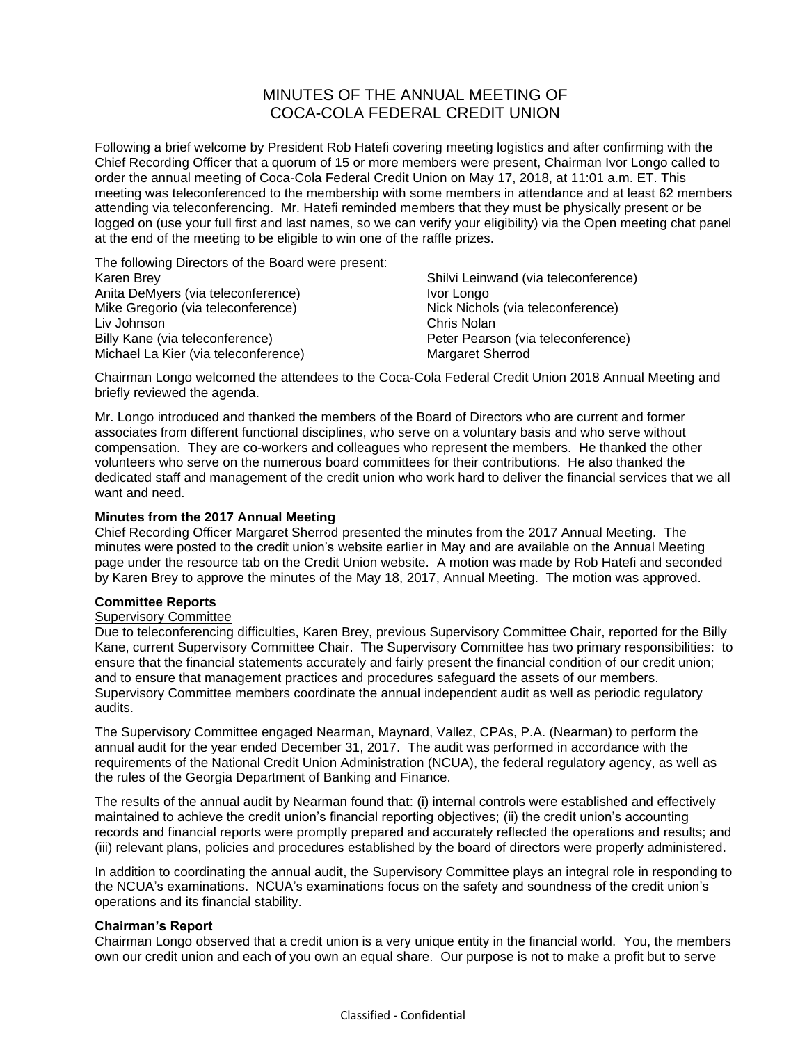# MINUTES OF THE ANNUAL MEETING OF COCA-COLA FEDERAL CREDIT UNION

Following a brief welcome by President Rob Hatefi covering meeting logistics and after confirming with the Chief Recording Officer that a quorum of 15 or more members were present, Chairman Ivor Longo called to order the annual meeting of Coca-Cola Federal Credit Union on May 17, 2018, at 11:01 a.m. ET. This meeting was teleconferenced to the membership with some members in attendance and at least 62 members attending via teleconferencing. Mr. Hatefi reminded members that they must be physically present or be logged on (use your full first and last names, so we can verify your eligibility) via the Open meeting chat panel at the end of the meeting to be eligible to win one of the raffle prizes.

The following Directors of the Board were present: Karen Brey Anita DeMyers (via teleconference) Mike Gregorio (via teleconference) Liv Johnson Billy Kane (via teleconference) Michael La Kier (via teleconference)

Shilvi Leinwand (via teleconference) Ivor Longo Nick Nichols (via teleconference) Chris Nolan Peter Pearson (via teleconference) Margaret Sherrod

Chairman Longo welcomed the attendees to the Coca-Cola Federal Credit Union 2018 Annual Meeting and briefly reviewed the agenda.

Mr. Longo introduced and thanked the members of the Board of Directors who are current and former associates from different functional disciplines, who serve on a voluntary basis and who serve without compensation. They are co-workers and colleagues who represent the members. He thanked the other volunteers who serve on the numerous board committees for their contributions. He also thanked the dedicated staff and management of the credit union who work hard to deliver the financial services that we all want and need.

# **Minutes from the 2017 Annual Meeting**

Chief Recording Officer Margaret Sherrod presented the minutes from the 2017 Annual Meeting. The minutes were posted to the credit union's website earlier in May and are available on the Annual Meeting page under the resource tab on the Credit Union website. A motion was made by Rob Hatefi and seconded by Karen Brey to approve the minutes of the May 18, 2017, Annual Meeting. The motion was approved.

# **Committee Reports**

# Supervisory Committee

Due to teleconferencing difficulties, Karen Brey, previous Supervisory Committee Chair, reported for the Billy Kane, current Supervisory Committee Chair. The Supervisory Committee has two primary responsibilities: to ensure that the financial statements accurately and fairly present the financial condition of our credit union; and to ensure that management practices and procedures safeguard the assets of our members. Supervisory Committee members coordinate the annual independent audit as well as periodic regulatory audits.

The Supervisory Committee engaged Nearman, Maynard, Vallez, CPAs, P.A. (Nearman) to perform the annual audit for the year ended December 31, 2017. The audit was performed in accordance with the requirements of the National Credit Union Administration (NCUA), the federal regulatory agency, as well as the rules of the Georgia Department of Banking and Finance.

The results of the annual audit by Nearman found that: (i) internal controls were established and effectively maintained to achieve the credit union's financial reporting objectives; (ii) the credit union's accounting records and financial reports were promptly prepared and accurately reflected the operations and results; and (iii) relevant plans, policies and procedures established by the board of directors were properly administered.

In addition to coordinating the annual audit, the Supervisory Committee plays an integral role in responding to the NCUA's examinations. NCUA's examinations focus on the safety and soundness of the credit union's operations and its financial stability.

# **Chairman's Report**

Chairman Longo observed that a credit union is a very unique entity in the financial world. You, the members own our credit union and each of you own an equal share. Our purpose is not to make a profit but to serve